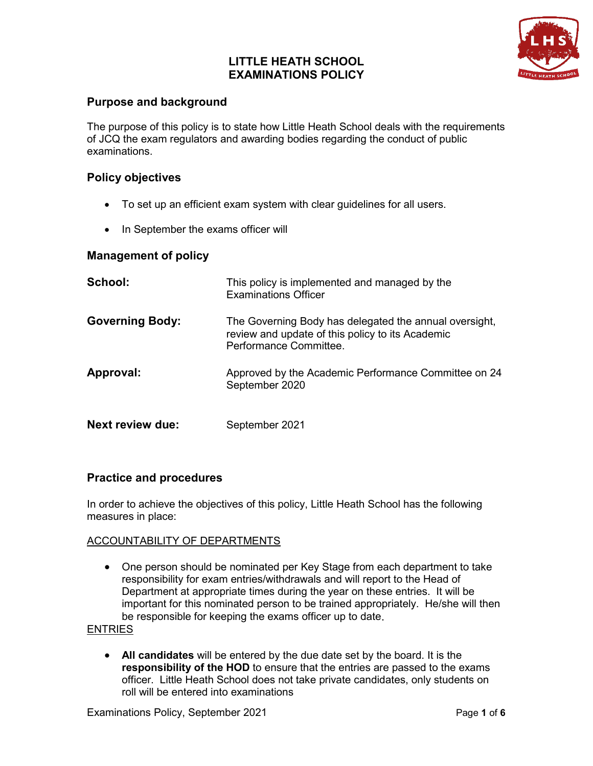## **LITTLE HEATH SCHOOL EXAMINATIONS POLICY**



## **Purpose and background**

The purpose of this policy is to state how Little Heath School deals with the requirements of JCQ the exam regulators and awarding bodies regarding the conduct of public examinations.

## **Policy objectives**

- To set up an efficient exam system with clear guidelines for all users.
- In September the exams officer will

### **Management of policy**

| School:                 | This policy is implemented and managed by the<br><b>Examinations Officer</b>                                                         |
|-------------------------|--------------------------------------------------------------------------------------------------------------------------------------|
| <b>Governing Body:</b>  | The Governing Body has delegated the annual oversight,<br>review and update of this policy to its Academic<br>Performance Committee. |
| Approval:               | Approved by the Academic Performance Committee on 24<br>September 2020                                                               |
| <b>Next review due:</b> | September 2021                                                                                                                       |

## **Practice and procedures**

In order to achieve the objectives of this policy, Little Heath School has the following measures in place:

### ACCOUNTABILITY OF DEPARTMENTS

• One person should be nominated per Key Stage from each department to take responsibility for exam entries/withdrawals and will report to the Head of Department at appropriate times during the year on these entries. It will be important for this nominated person to be trained appropriately. He/she will then be responsible for keeping the exams officer up to date.

### **ENTRIES**

• **All candidates** will be entered by the due date set by the board. It is the **responsibility of the HOD** to ensure that the entries are passed to the exams officer. Little Heath School does not take private candidates, only students on roll will be entered into examinations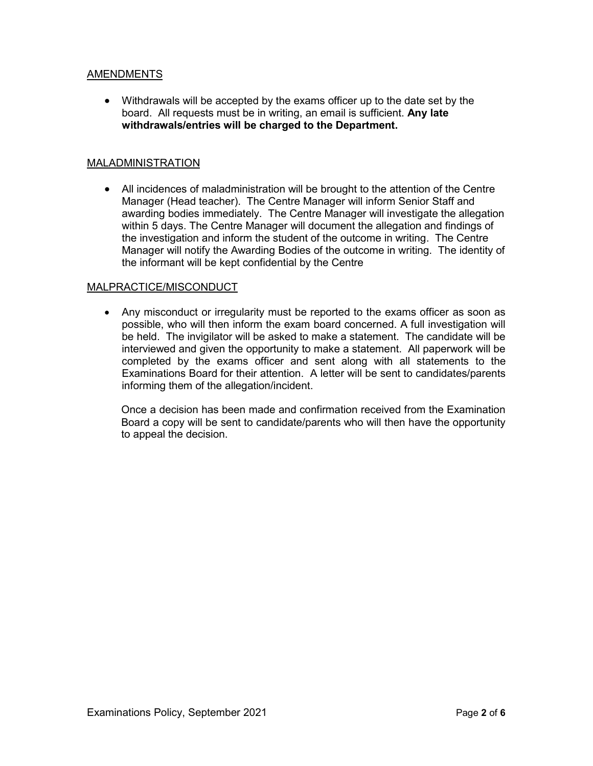### AMENDMENTS

• Withdrawals will be accepted by the exams officer up to the date set by the board. All requests must be in writing, an email is sufficient. **Any late withdrawals/entries will be charged to the Department.**

### MALADMINISTRATION

• All incidences of maladministration will be brought to the attention of the Centre Manager (Head teacher). The Centre Manager will inform Senior Staff and awarding bodies immediately. The Centre Manager will investigate the allegation within 5 days. The Centre Manager will document the allegation and findings of the investigation and inform the student of the outcome in writing. The Centre Manager will notify the Awarding Bodies of the outcome in writing. The identity of the informant will be kept confidential by the Centre

### MALPRACTICE/MISCONDUCT

• Any misconduct or irregularity must be reported to the exams officer as soon as possible, who will then inform the exam board concerned. A full investigation will be held. The invigilator will be asked to make a statement. The candidate will be interviewed and given the opportunity to make a statement. All paperwork will be completed by the exams officer and sent along with all statements to the Examinations Board for their attention. A letter will be sent to candidates/parents informing them of the allegation/incident.

Once a decision has been made and confirmation received from the Examination Board a copy will be sent to candidate/parents who will then have the opportunity to appeal the decision.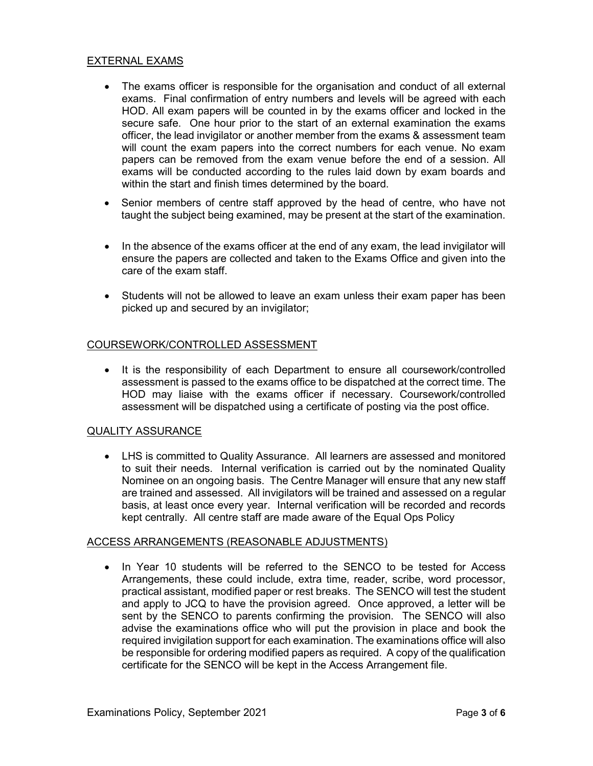#### EXTERNAL EXAMS

- The exams officer is responsible for the organisation and conduct of all external exams. Final confirmation of entry numbers and levels will be agreed with each HOD. All exam papers will be counted in by the exams officer and locked in the secure safe. One hour prior to the start of an external examination the exams officer, the lead invigilator or another member from the exams & assessment team will count the exam papers into the correct numbers for each venue. No exam papers can be removed from the exam venue before the end of a session. All exams will be conducted according to the rules laid down by exam boards and within the start and finish times determined by the board.
- Senior members of centre staff approved by the head of centre, who have not taught the subject being examined, may be present at the start of the examination.
- In the absence of the exams officer at the end of any exam, the lead invigilator will ensure the papers are collected and taken to the Exams Office and given into the care of the exam staff.
- Students will not be allowed to leave an exam unless their exam paper has been picked up and secured by an invigilator;

#### COURSEWORK/CONTROLLED ASSESSMENT

• It is the responsibility of each Department to ensure all coursework/controlled assessment is passed to the exams office to be dispatched at the correct time. The HOD may liaise with the exams officer if necessary. Coursework/controlled assessment will be dispatched using a certificate of posting via the post office.

#### QUALITY ASSURANCE

• LHS is committed to Quality Assurance. All learners are assessed and monitored to suit their needs. Internal verification is carried out by the nominated Quality Nominee on an ongoing basis. The Centre Manager will ensure that any new staff are trained and assessed. All invigilators will be trained and assessed on a regular basis, at least once every year. Internal verification will be recorded and records kept centrally. All centre staff are made aware of the Equal Ops Policy

#### ACCESS ARRANGEMENTS (REASONABLE ADJUSTMENTS)

• In Year 10 students will be referred to the SENCO to be tested for Access Arrangements, these could include, extra time, reader, scribe, word processor, practical assistant, modified paper or rest breaks. The SENCO will test the student and apply to JCQ to have the provision agreed. Once approved, a letter will be sent by the SENCO to parents confirming the provision. The SENCO will also advise the examinations office who will put the provision in place and book the required invigilation support for each examination. The examinations office will also be responsible for ordering modified papers as required. A copy of the qualification certificate for the SENCO will be kept in the Access Arrangement file.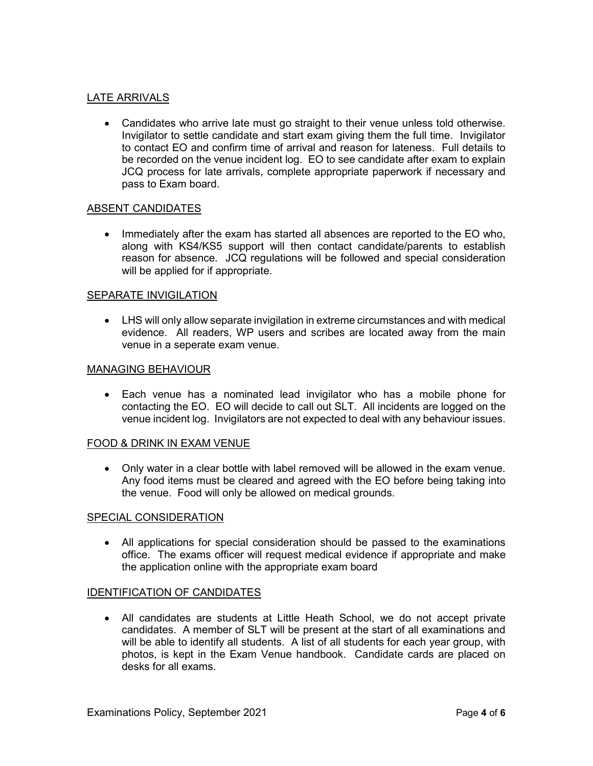#### LATE ARRIVALS

• Candidates who arrive late must go straight to their venue unless told otherwise. Invigilator to settle candidate and start exam giving them the full time. Invigilator to contact EO and confirm time of arrival and reason for lateness. Full details to be recorded on the venue incident log. EO to see candidate after exam to explain JCQ process for late arrivals, complete appropriate paperwork if necessary and pass to Exam board.

#### ABSENT CANDIDATES

• Immediately after the exam has started all absences are reported to the EO who, along with KS4/KS5 support will then contact candidate/parents to establish reason for absence. JCQ regulations will be followed and special consideration will be applied for if appropriate.

#### SEPARATE INVIGILATION

• LHS will only allow separate invigilation in extreme circumstances and with medical evidence. All readers, WP users and scribes are located away from the main venue in a seperate exam venue.

#### MANAGING BEHAVIOUR

• Each venue has a nominated lead invigilator who has a mobile phone for contacting the EO. EO will decide to call out SLT. All incidents are logged on the venue incident log. Invigilators are not expected to deal with any behaviour issues.

#### FOOD & DRINK IN EXAM VENUE

• Only water in a clear bottle with label removed will be allowed in the exam venue. Any food items must be cleared and agreed with the EO before being taking into the venue. Food will only be allowed on medical grounds.

#### SPECIAL CONSIDERATION

• All applications for special consideration should be passed to the examinations office. The exams officer will request medical evidence if appropriate and make the application online with the appropriate exam board

#### IDENTIFICATION OF CANDIDATES

• All candidates are students at Little Heath School, we do not accept private candidates. A member of SLT will be present at the start of all examinations and will be able to identify all students. A list of all students for each year group, with photos, is kept in the Exam Venue handbook. Candidate cards are placed on desks for all exams.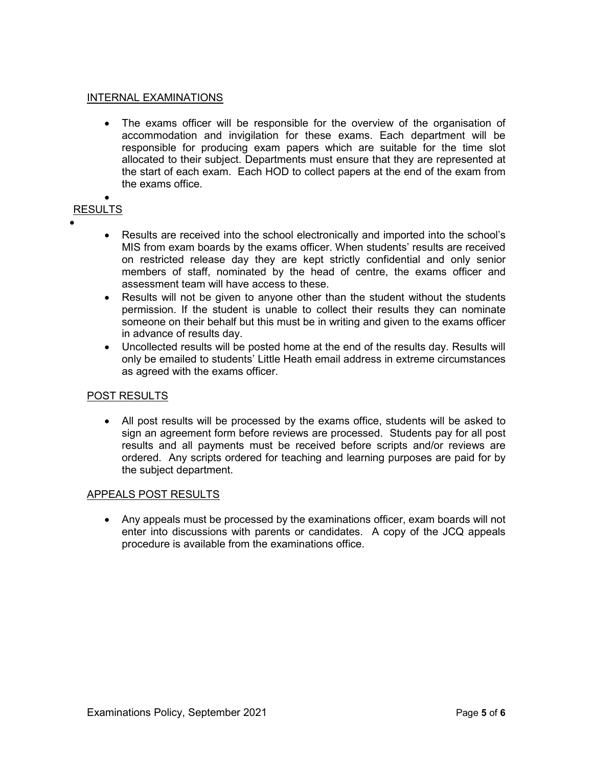#### INTERNAL EXAMINATIONS

• The exams officer will be responsible for the overview of the organisation of accommodation and invigilation for these exams. Each department will be responsible for producing exam papers which are suitable for the time slot allocated to their subject. Departments must ensure that they are represented at the start of each exam. Each HOD to collect papers at the end of the exam from the exams office.

#### • RESULTS

- •
- Results are received into the school electronically and imported into the school's MIS from exam boards by the exams officer. When students' results are received on restricted release day they are kept strictly confidential and only senior members of staff, nominated by the head of centre, the exams officer and assessment team will have access to these.
- Results will not be given to anyone other than the student without the students permission. If the student is unable to collect their results they can nominate someone on their behalf but this must be in writing and given to the exams officer in advance of results day.
- Uncollected results will be posted home at the end of the results day. Results will only be emailed to students' Little Heath email address in extreme circumstances as agreed with the exams officer.

### POST RESULTS

• All post results will be processed by the exams office, students will be asked to sign an agreement form before reviews are processed. Students pay for all post results and all payments must be received before scripts and/or reviews are ordered. Any scripts ordered for teaching and learning purposes are paid for by the subject department.

### APPEALS POST RESULTS

• Any appeals must be processed by the examinations officer, exam boards will not enter into discussions with parents or candidates. A copy of the JCQ appeals procedure is available from the examinations office.